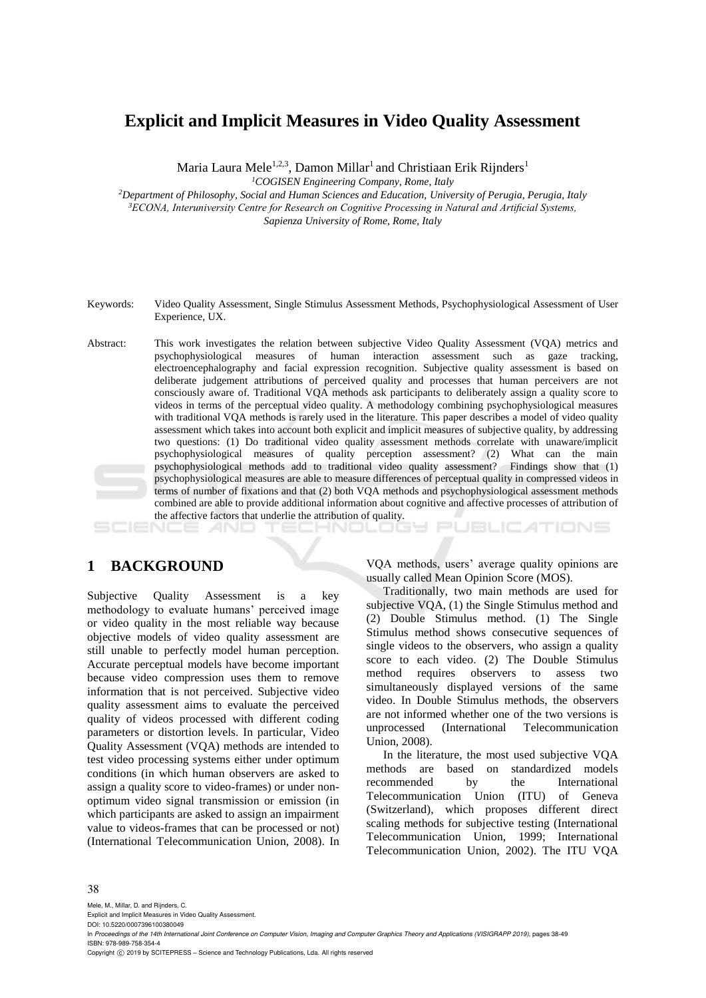## **Explicit and Implicit Measures in Video Quality Assessment**

Maria Laura Mele<sup>1,2,3</sup>, Damon Millar<sup>1</sup> and Christiaan Erik Rijnders<sup>1</sup>

*<sup>1</sup>COGISEN Engineering Company, Rome, Italy*

*<sup>2</sup>Department of Philosophy, Social and Human Sciences and Education, University of Perugia, Perugia, Italy <sup>3</sup>ECONA, Interuniversity Centre for Research on Cognitive Processing in Natural and Artificial Systems, Sapienza University of Rome, Rome, Italy*

- Keywords: Video Quality Assessment, Single Stimulus Assessment Methods, Psychophysiological Assessment of User Experience, UX.
- Abstract: This work investigates the relation between subjective Video Quality Assessment (VQA) metrics and psychophysiological measures of human interaction assessment such as gaze tracking, electroencephalography and facial expression recognition. Subjective quality assessment is based on deliberate judgement attributions of perceived quality and processes that human perceivers are not consciously aware of. Traditional VQA methods ask participants to deliberately assign a quality score to videos in terms of the perceptual video quality. A methodology combining psychophysiological measures with traditional VQA methods is rarely used in the literature. This paper describes a model of video quality assessment which takes into account both explicit and implicit measures of subjective quality, by addressing two questions: (1) Do traditional video quality assessment methods correlate with unaware/implicit psychophysiological measures of quality perception assessment? (2) What can the main psychophysiological methods add to traditional video quality assessment? Findings show that (1) psychophysiological measures are able to measure differences of perceptual quality in compressed videos in terms of number of fixations and that (2) both VQA methods and psychophysiological assessment methods combined are able to provide additional information about cognitive and affective processes of attribution of the affective factors that underlie the attribution of quality.

# **PUBLICATIONS**

### **1 BACKGROUND**

Subjective Quality Assessment is a key methodology to evaluate humans' perceived image or video quality in the most reliable way because objective models of video quality assessment are still unable to perfectly model human perception. Accurate perceptual models have become important because video compression uses them to remove information that is not perceived. Subjective video quality assessment aims to evaluate the perceived quality of videos processed with different coding parameters or distortion levels. In particular, Video Quality Assessment (VQA) methods are intended to test video processing systems either under optimum conditions (in which human observers are asked to assign a quality score to video-frames) or under nonoptimum video signal transmission or emission (in which participants are asked to assign an impairment value to videos-frames that can be processed or not) (International Telecommunication Union, 2008). In

VQA methods, users' average quality opinions are usually called Mean Opinion Score (MOS).

Traditionally, two main methods are used for subjective VQA, (1) the Single Stimulus method and (2) Double Stimulus method. (1) The Single Stimulus method shows consecutive sequences of single videos to the observers, who assign a quality score to each video. (2) The Double Stimulus method requires observers to assess two simultaneously displayed versions of the same video. In Double Stimulus methods, the observers are not informed whether one of the two versions is unprocessed (International Telecommunication Union, 2008).

In the literature, the most used subjective VQA methods are based on standardized models recommended by the International Telecommunication Union (ITU) of Geneva (Switzerland), which proposes different direct scaling methods for subjective testing (International Telecommunication Union, 1999; International Telecommunication Union, 2002). The ITU VQA

#### 38

Mele, M., Millar, D. and Rijnders, C.

Explicit and Implicit Measures in Video Quality Assessment. DOI: 10.5220/0007396100380049

Copyright © 2019 by SCITEPRESS - Science and Technology Publications, Lda. All rights reserved

In *Proceedings of the 14th International Joint Conference on Computer Vision, Imaging and Computer Graphics Theory and Applications (VISIGRAPP 2019)*, pages 38-49 ISBN: 978-989-758-354-4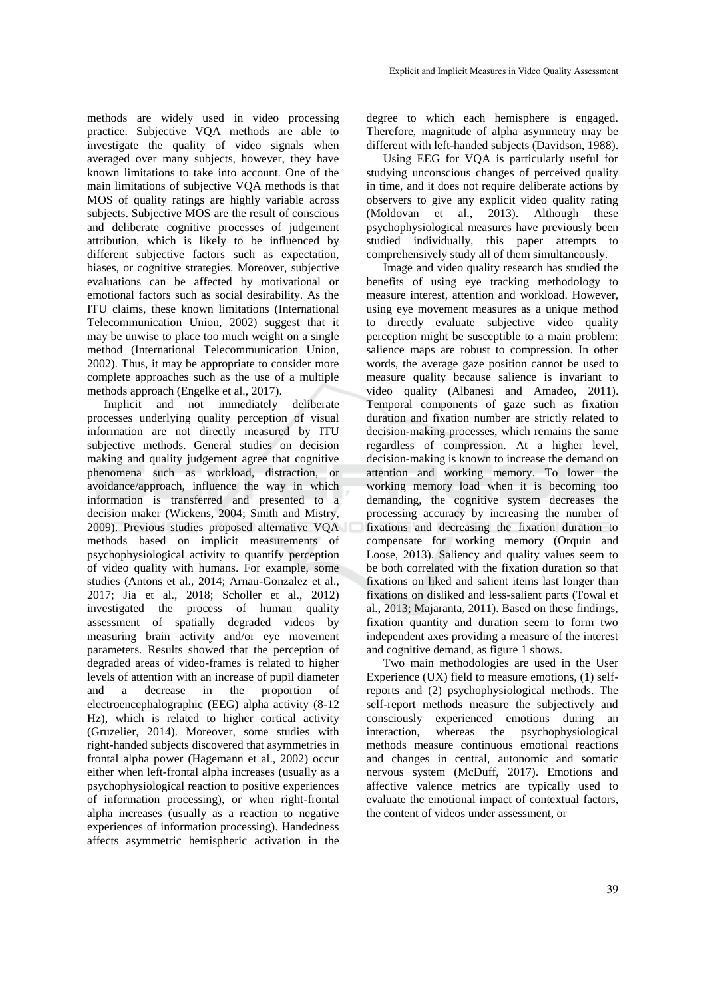methods are widely used in video processing practice. Subjective VQA methods are able to investigate the quality of video signals when averaged over many subjects, however, they have known limitations to take into account. One of the main limitations of subjective VQA methods is that MOS of quality ratings are highly variable across subjects. Subjective MOS are the result of conscious and deliberate cognitive processes of judgement attribution, which is likely to be influenced by different subjective factors such as expectation, biases, or cognitive strategies. Moreover, subjective evaluations can be affected by motivational or emotional factors such as social desirability. As the ITU claims, these known limitations (International Telecommunication Union, 2002) suggest that it may be unwise to place too much weight on a single method (International Telecommunication Union, 2002). Thus, it may be appropriate to consider more complete approaches such as the use of a multiple methods approach (Engelke et al., 2017).

Implicit and not immediately deliberate processes underlying quality perception of visual information are not directly measured by ITU subjective methods. General studies on decision making and quality judgement agree that cognitive phenomena such as workload, distraction, or avoidance/approach, influence the way in which information is transferred and presented to a decision maker (Wickens, 2004; Smith and Mistry, 2009). Previous studies proposed alternative VQA methods based on implicit measurements of psychophysiological activity to quantify perception of video quality with humans. For example, some studies (Antons et al., 2014; Arnau-Gonzalez et al., 2017; Jia et al., 2018; Scholler et al., 2012) investigated the process of human quality assessment of spatially degraded videos by measuring brain activity and/or eye movement parameters. Results showed that the perception of degraded areas of video-frames is related to higher levels of attention with an increase of pupil diameter and a decrease in the proportion of electroencephalographic (EEG) alpha activity (8-12 Hz), which is related to higher cortical activity (Gruzelier, 2014). Moreover, some studies with right-handed subjects discovered that asymmetries in frontal alpha power (Hagemann et al., 2002) occur either when left-frontal alpha increases (usually as a psychophysiological reaction to positive experiences of information processing), or when right-frontal alpha increases (usually as a reaction to negative experiences of information processing). Handedness affects asymmetric hemispheric activation in the

degree to which each hemisphere is engaged. Therefore, magnitude of alpha asymmetry may be different with left-handed subjects (Davidson, 1988).

Using EEG for VQA is particularly useful for studying unconscious changes of perceived quality in time, and it does not require deliberate actions by observers to give any explicit video quality rating (Moldovan et al., 2013). Although these psychophysiological measures have previously been studied individually, this paper attempts to comprehensively study all of them simultaneously.

Image and video quality research has studied the benefits of using eye tracking methodology to measure interest, attention and workload. However, using eye movement measures as a unique method to directly evaluate subjective video quality perception might be susceptible to a main problem: salience maps are robust to compression. In other words, the average gaze position cannot be used to measure quality because salience is invariant to video quality (Albanesi and Amadeo, 2011). Temporal components of gaze such as fixation duration and fixation number are strictly related to decision-making processes, which remains the same regardless of compression. At a higher level, decision-making is known to increase the demand on attention and working memory. To lower the working memory load when it is becoming too demanding, the cognitive system decreases the processing accuracy by increasing the number of fixations and decreasing the fixation duration to compensate for working memory (Orquin and Loose, 2013). Saliency and quality values seem to be both correlated with the fixation duration so that fixations on liked and salient items last longer than fixations on disliked and less-salient parts (Towal et al., 2013; Majaranta, 2011). Based on these findings, fixation quantity and duration seem to form two independent axes providing a measure of the interest and cognitive demand, as figure 1 shows.

Two main methodologies are used in the User Experience (UX) field to measure emotions, (1) selfreports and (2) psychophysiological methods. The self-report methods measure the subjectively and consciously experienced emotions during an interaction, whereas the psychophysiological methods measure continuous emotional reactions and changes in central, autonomic and somatic nervous system (McDuff, 2017). Emotions and affective valence metrics are typically used to evaluate the emotional impact of contextual factors, the content of videos under assessment, or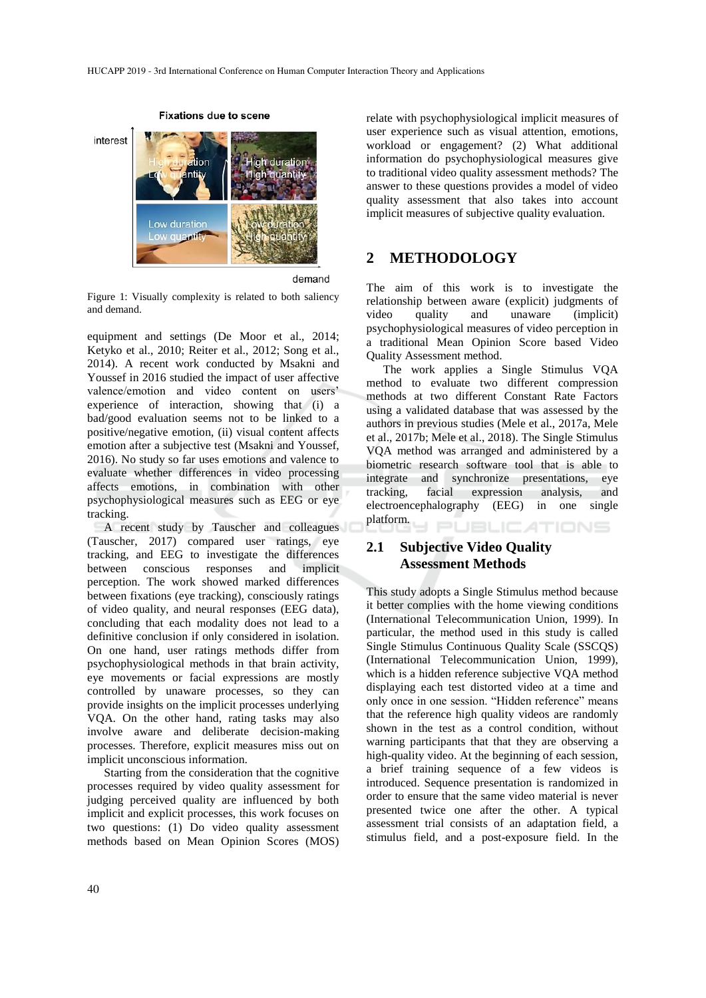

**Fixations due to scene** 

demand

Figure 1: Visually complexity is related to both saliency and demand.

equipment and settings (De Moor et al., 2014; Ketyko et al., 2010; Reiter et al., 2012; Song et al., 2014). A recent work conducted by Msakni and Youssef in 2016 studied the impact of user affective valence/emotion and video content on users' experience of interaction, showing that (i) a bad/good evaluation seems not to be linked to a positive/negative emotion, (ii) visual content affects emotion after a subjective test (Msakni and Youssef, 2016). No study so far uses emotions and valence to evaluate whether differences in video processing affects emotions, in combination with other psychophysiological measures such as EEG or eye tracking.

A recent study by Tauscher and colleagues (Tauscher, 2017) compared user ratings, eye tracking, and EEG to investigate the differences between conscious responses and implicit perception. The work showed marked differences between fixations (eye tracking), consciously ratings of video quality, and neural responses (EEG data), concluding that each modality does not lead to a definitive conclusion if only considered in isolation. On one hand, user ratings methods differ from psychophysiological methods in that brain activity, eye movements or facial expressions are mostly controlled by unaware processes, so they can provide insights on the implicit processes underlying VQA. On the other hand, rating tasks may also involve aware and deliberate decision-making processes. Therefore, explicit measures miss out on implicit unconscious information.

Starting from the consideration that the cognitive processes required by video quality assessment for judging perceived quality are influenced by both implicit and explicit processes, this work focuses on two questions: (1) Do video quality assessment methods based on Mean Opinion Scores (MOS)

relate with psychophysiological implicit measures of user experience such as visual attention, emotions, workload or engagement? (2) What additional information do psychophysiological measures give to traditional video quality assessment methods? The answer to these questions provides a model of video quality assessment that also takes into account implicit measures of subjective quality evaluation.

## **2 METHODOLOGY**

The aim of this work is to investigate the relationship between aware (explicit) judgments of video quality and unaware (implicit) psychophysiological measures of video perception in a traditional Mean Opinion Score based Video Quality Assessment method.

The work applies a Single Stimulus VQA method to evaluate two different compression methods at two different Constant Rate Factors using a validated database that was assessed by the authors in previous studies (Mele et al., 2017a, Mele et al., 2017b; Mele et al., 2018). The Single Stimulus VQA method was arranged and administered by a biometric research software tool that is able to integrate and synchronize presentations, eye tracking, facial expression analysis, and electroencephalography (EEG) in one single platform. **JBLICATIONS** 

### **2.1 Subjective Video Quality Assessment Methods**

This study adopts a Single Stimulus method because it better complies with the home viewing conditions (International Telecommunication Union, 1999). In particular, the method used in this study is called Single Stimulus Continuous Quality Scale (SSCQS) (International Telecommunication Union, 1999), which is a hidden reference subjective VQA method displaying each test distorted video at a time and only once in one session. "Hidden reference" means that the reference high quality videos are randomly shown in the test as a control condition, without warning participants that that they are observing a high-quality video. At the beginning of each session, a brief training sequence of a few videos is introduced. Sequence presentation is randomized in order to ensure that the same video material is never presented twice one after the other. A typical assessment trial consists of an adaptation field, a stimulus field, and a post-exposure field. In the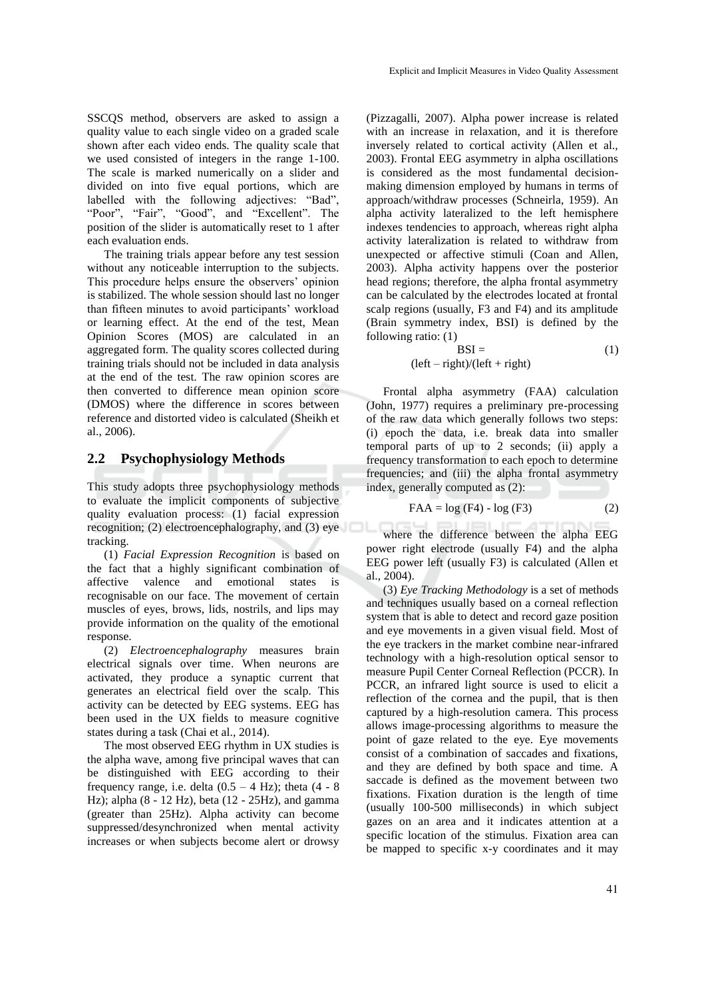SSCQS method, observers are asked to assign a quality value to each single video on a graded scale shown after each video ends. The quality scale that we used consisted of integers in the range 1-100. The scale is marked numerically on a slider and divided on into five equal portions, which are labelled with the following adjectives: "Bad", "Poor", "Fair", "Good", and "Excellent". The position of the slider is automatically reset to 1 after each evaluation ends.

The training trials appear before any test session without any noticeable interruption to the subjects. This procedure helps ensure the observers' opinion is stabilized. The whole session should last no longer than fifteen minutes to avoid participants' workload or learning effect. At the end of the test, Mean Opinion Scores (MOS) are calculated in an aggregated form. The quality scores collected during training trials should not be included in data analysis at the end of the test. The raw opinion scores are then converted to difference mean opinion score (DMOS) where the difference in scores between reference and distorted video is calculated (Sheikh et al., 2006).

#### **2.2 Psychophysiology Methods**

This study adopts three psychophysiology methods to evaluate the implicit components of subjective quality evaluation process: (1) facial expression recognition; (2) electroencephalography, and (3) eye tracking.

(1) *Facial Expression Recognition* is based on the fact that a highly significant combination of affective valence and emotional states is recognisable on our face. The movement of certain muscles of eyes, brows, lids, nostrils, and lips may provide information on the quality of the emotional response.

(2) *Electroencephalography* measures brain electrical signals over time. When neurons are activated, they produce a synaptic current that generates an electrical field over the scalp. This activity can be detected by EEG systems. EEG has been used in the UX fields to measure cognitive states during a task (Chai et al., 2014).

The most observed EEG rhythm in UX studies is the alpha wave, among five principal waves that can be distinguished with EEG according to their frequency range, i.e. delta  $(0.5 - 4 \text{ Hz})$ ; theta  $(4 - 8 \text{ Hz})$ Hz); alpha (8 - 12 Hz), beta (12 - 25Hz), and gamma (greater than 25Hz). Alpha activity can become suppressed/desynchronized when mental activity increases or when subjects become alert or drowsy

(Pizzagalli, 2007). Alpha power increase is related with an increase in relaxation, and it is therefore inversely related to cortical activity (Allen et al., 2003). Frontal EEG asymmetry in alpha oscillations is considered as the most fundamental decisionmaking dimension employed by humans in terms of approach/withdraw processes (Schneirla, 1959). An alpha activity lateralized to the left hemisphere indexes tendencies to approach, whereas right alpha activity lateralization is related to withdraw from unexpected or affective stimuli (Coan and Allen, 2003). Alpha activity happens over the posterior head regions; therefore, the alpha frontal asymmetry can be calculated by the electrodes located at frontal scalp regions (usually, F3 and F4) and its amplitude (Brain symmetry index, BSI) is defined by the following ratio: (1)

$$
BSI = (left - right)/(left + right)
$$
 (1)

Frontal alpha asymmetry (FAA) calculation (John, 1977) requires a preliminary pre-processing of the raw data which generally follows two steps: (i) epoch the data, i.e. break data into smaller temporal parts of up to 2 seconds; (ii) apply a frequency transformation to each epoch to determine frequencies; and (iii) the alpha frontal asymmetry index, generally computed as (2):

$$
FAA = \log (F4) - \log (F3)
$$
 (2)

where the difference between the alpha EEG power right electrode (usually F4) and the alpha EEG power left (usually F3) is calculated (Allen et al., 2004).

(3) *Eye Tracking Methodology* is a set of methods and techniques usually based on a corneal reflection system that is able to detect and record gaze position and eye movements in a given visual field. Most of the eye trackers in the market combine near-infrared technology with a high-resolution optical sensor to measure Pupil Center Corneal Reflection (PCCR). In PCCR, an infrared light source is used to elicit a reflection of the cornea and the pupil, that is then captured by a high-resolution camera. This process allows image-processing algorithms to measure the point of gaze related to the eye. Eye movements consist of a combination of saccades and fixations, and they are defined by both space and time. A saccade is defined as the movement between two fixations. Fixation duration is the length of time (usually 100-500 milliseconds) in which subject gazes on an area and it indicates attention at a specific location of the stimulus. Fixation area can be mapped to specific x-y coordinates and it may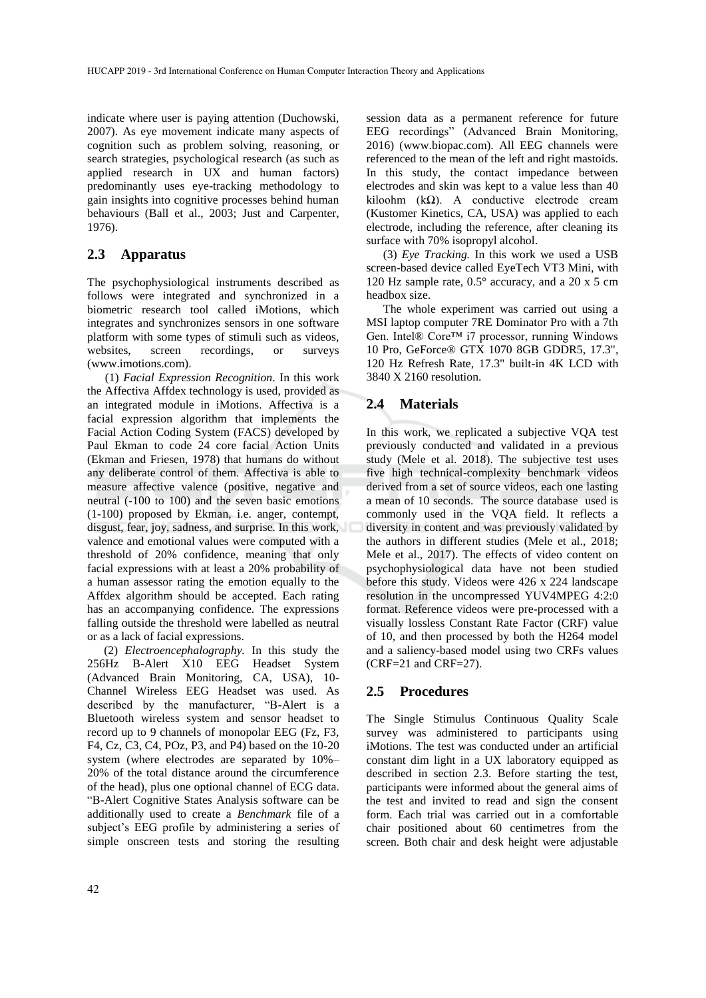indicate where user is paying attention (Duchowski, 2007). As eye movement indicate many aspects of cognition such as problem solving, reasoning, or search strategies, psychological research (as such as applied research in UX and human factors) predominantly uses eye-tracking methodology to gain insights into cognitive processes behind human behaviours (Ball et al., 2003; Just and Carpenter, 1976).

### **2.3 Apparatus**

The psychophysiological instruments described as follows were integrated and synchronized in a biometric research tool called iMotions, which integrates and synchronizes sensors in one software platform with some types of stimuli such as videos, websites, screen recordings, or surveys (www.imotions.com).

(1) *Facial Expression Recognition*. In this work the Affectiva Affdex technology is used, provided as an integrated module in iMotions. Affectiva is a facial expression algorithm that implements the Facial Action Coding System (FACS) developed by Paul Ekman to code 24 core facial Action Units (Ekman and Friesen, 1978) that humans do without any deliberate control of them. Affectiva is able to measure affective valence (positive, negative and neutral (-100 to 100) and the seven basic emotions (1-100) proposed by Ekman, i.e. anger, contempt, disgust, fear, joy, sadness, and surprise. In this work, valence and emotional values were computed with a threshold of 20% confidence, meaning that only facial expressions with at least a 20% probability of a human assessor rating the emotion equally to the Affdex algorithm should be accepted. Each rating has an accompanying confidence. The expressions falling outside the threshold were labelled as neutral or as a lack of facial expressions.

(2) *Electroencephalography.* In this study the 256Hz B-Alert X10 EEG Headset System (Advanced Brain Monitoring, CA, USA), 10- Channel Wireless EEG Headset was used. As described by the manufacturer, "B-Alert is a Bluetooth wireless system and sensor headset to record up to 9 channels of monopolar EEG (Fz, F3, F4, Cz, C3, C4, POz, P3, and P4) based on the 10-20 system (where electrodes are separated by 10%– 20% of the total distance around the circumference of the head), plus one optional channel of ECG data. "B-Alert Cognitive States Analysis software can be additionally used to create a *Benchmark* file of a subject's EEG profile by administering a series of simple onscreen tests and storing the resulting

session data as a permanent reference for future EEG recordings" (Advanced Brain Monitoring, 2016) (www.biopac.com). All EEG channels were referenced to the mean of the left and right mastoids. In this study, the contact impedance between electrodes and skin was kept to a value less than 40 kiloohm (kΩ). A conductive electrode cream (Kustomer Kinetics, CA, USA) was applied to each electrode, including the reference, after cleaning its surface with 70% isopropyl alcohol.

(3) *Eye Tracking.* In this work we used a USB screen-based device called EyeTech VT3 Mini, with 120 Hz sample rate, 0.5° accuracy, and a 20 x 5 cm headbox size.

The whole experiment was carried out using a MSI laptop computer 7RE Dominator Pro with a 7th Gen. Intel® Core™ i7 processor, running Windows 10 Pro, GeForce® GTX 1070 8GB GDDR5, 17.3", 120 Hz Refresh Rate, 17.3" built-in 4K LCD with 3840 X 2160 resolution.

### **2.4 Materials**

In this work, we replicated a subjective VQA test previously conducted and validated in a previous study (Mele et al. 2018). The subjective test uses five high technical-complexity benchmark videos derived from a set of source videos, each one lasting a mean of 10 seconds. The source database used is commonly used in the VQA field. It reflects a diversity in content and was previously validated by the authors in different studies (Mele et al., 2018; Mele et al., 2017). The effects of video content on psychophysiological data have not been studied before this study. Videos were 426 x 224 landscape resolution in the uncompressed YUV4MPEG 4:2:0 format. Reference videos were pre-processed with a visually lossless Constant Rate Factor (CRF) value of 10, and then processed by both the H264 model and a saliency-based model using two CRFs values (CRF=21 and CRF=27).

#### **2.5 Procedures**

The Single Stimulus Continuous Quality Scale survey was administered to participants using iMotions. The test was conducted under an artificial constant dim light in a UX laboratory equipped as described in section 2.3. Before starting the test, participants were informed about the general aims of the test and invited to read and sign the consent form. Each trial was carried out in a comfortable chair positioned about 60 centimetres from the screen. Both chair and desk height were adjustable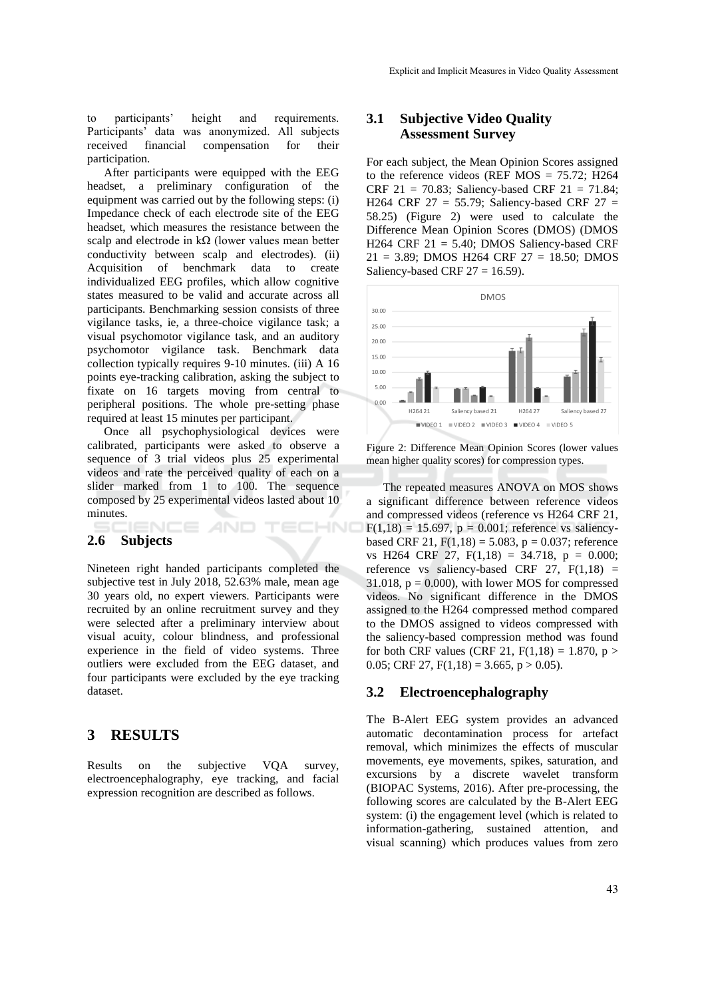to participants' height and requirements. Participants' data was anonymized. All subjects received financial compensation for their participation.

After participants were equipped with the EEG headset, a preliminary configuration of the equipment was carried out by the following steps: (i) Impedance check of each electrode site of the EEG headset, which measures the resistance between the scalp and electrode in  $k\Omega$  (lower values mean better conductivity between scalp and electrodes). (ii) Acquisition of benchmark data to create individualized EEG profiles, which allow cognitive states measured to be valid and accurate across all participants. Benchmarking session consists of three vigilance tasks, ie, a three-choice vigilance task; a visual psychomotor vigilance task, and an auditory psychomotor vigilance task. Benchmark data collection typically requires 9-10 minutes. (iii) A 16 points eye-tracking calibration, asking the subject to fixate on 16 targets moving from central to peripheral positions. The whole pre-setting phase required at least 15 minutes per participant.

Once all psychophysiological devices were calibrated, participants were asked to observe a sequence of 3 trial videos plus 25 experimental videos and rate the perceived quality of each on a slider marked from 1 to 100. The sequence composed by 25 experimental videos lasted about 10 minutes.

CE *A*ND

IHNO

#### **2.6 Subjects**

Nineteen right handed participants completed the subjective test in July 2018, 52.63% male, mean age 30 years old, no expert viewers. Participants were recruited by an online recruitment survey and they were selected after a preliminary interview about visual acuity, colour blindness, and professional experience in the field of video systems. Three outliers were excluded from the EEG dataset, and four participants were excluded by the eye tracking dataset.

### **3 RESULTS**

Results on the subjective VQA survey, electroencephalography, eye tracking, and facial expression recognition are described as follows.

### **3.1 Subjective Video Quality Assessment Survey**

For each subject, the Mean Opinion Scores assigned to the reference videos (REF MOS =  $75.72$ ; H264 CRF 21 = 70.83; Saliency-based CRF 21 = 71.84; H264 CRF 27 = 55.79; Saliency-based CRF 27 = 58.25) (Figure 2) were used to calculate the Difference Mean Opinion Scores (DMOS) (DMOS H264 CRF  $21 = 5.40$ ; DMOS Saliency-based CRF 21 = 3.89; DMOS H264 CRF 27 = 18.50; DMOS Saliency-based CRF  $27 = 16.59$ ).



Figure 2: Difference Mean Opinion Scores (lower values mean higher quality scores) for compression types.

The repeated measures ANOVA on MOS shows a significant difference between reference videos and compressed videos (reference vs H264 CRF 21,  $F(1,18) = 15.697$ ,  $p = 0.001$ ; reference vs saliencybased CRF 21,  $F(1.18) = 5.083$ ,  $p = 0.037$ ; reference vs H264 CRF 27,  $F(1,18) = 34.718$ ,  $p = 0.000$ ; reference vs saliency-based CRF 27,  $F(1,18) =$ 31.018,  $p = 0.000$ , with lower MOS for compressed videos. No significant difference in the DMOS assigned to the H264 compressed method compared to the DMOS assigned to videos compressed with the saliency-based compression method was found for both CRF values (CRF 21,  $F(1,18) = 1.870$ ,  $p >$ 0.05; CRF 27,  $F(1,18) = 3.665$ ,  $p > 0.05$ ).

#### **3.2 Electroencephalography**

The B-Alert EEG system provides an advanced automatic decontamination process for artefact removal, which minimizes the effects of muscular movements, eye movements, spikes, saturation, and excursions by a discrete wavelet transform (BIOPAC Systems, 2016). After pre-processing, the following scores are calculated by the B-Alert EEG system: (i) the engagement level (which is related to information-gathering, sustained attention, and visual scanning) which produces values from zero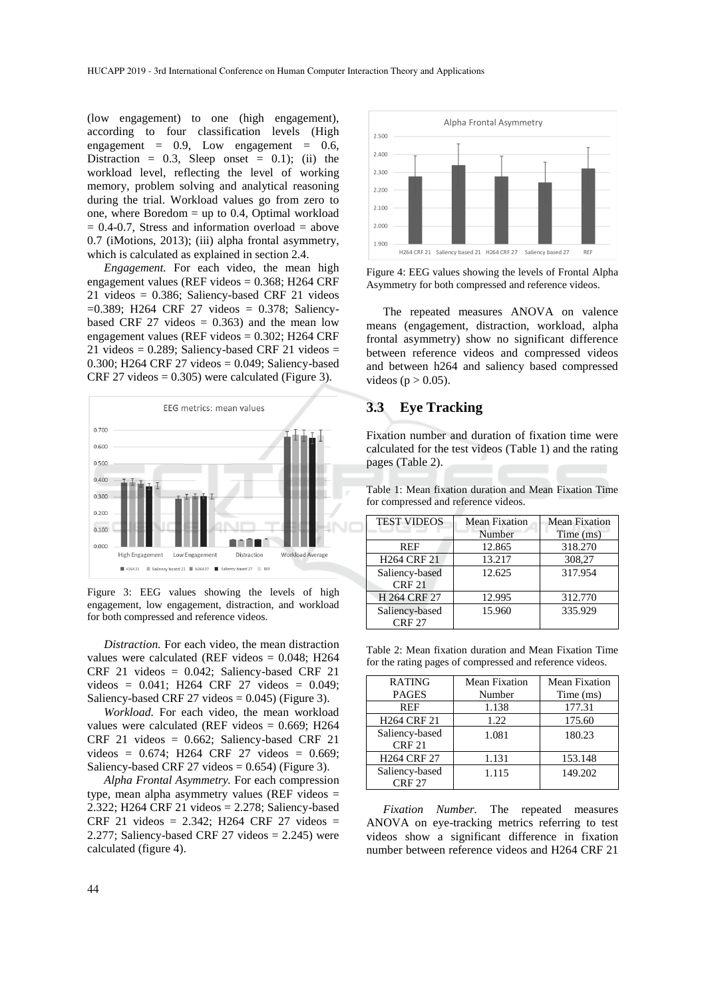(low engagement) to one (high engagement), according to four classification levels (High engagement =  $0.9$ , Low engagement =  $0.6$ , Distraction =  $0.3$ , Sleep onset =  $0.1$ ); (ii) the workload level, reflecting the level of working memory, problem solving and analytical reasoning during the trial. Workload values go from zero to one, where Boredom = up to 0.4, Optimal workload  $= 0.4$ -0.7, Stress and information overload  $=$  above 0.7 (iMotions, 2013); (iii) alpha frontal asymmetry, which is calculated as explained in section 2.4.

*Engagement.* For each video, the mean high engagement values (REF videos = 0.368; H264 CRF 21 videos = 0.386; Saliency-based CRF 21 videos =0.389; H264 CRF 27 videos = 0.378; Saliencybased CRF 27 videos  $= 0.363$  and the mean low engagement values (REF videos = 0.302; H264 CRF 21 videos =  $0.289$ ; Saliency-based CRF 21 videos = 0.300; H264 CRF 27 videos =  $0.049$ ; Saliency-based  $CRF 27$  videos = 0.305) were calculated (Figure 3).



Figure 3: EEG values showing the levels of high engagement, low engagement, distraction, and workload for both compressed and reference videos.

*Distraction.* For each video, the mean distraction values were calculated (REF videos = 0.048; H264 CRF 21 videos = 0.042; Saliency-based CRF 21 videos = 0.041; H264 CRF 27 videos = 0.049; Saliency-based CRF 27 videos  $= 0.045$ ) (Figure 3).

*Workload.* For each video, the mean workload values were calculated (REF videos =  $0.669$ ; H264 CRF 21 videos = 0.662; Saliency-based CRF 21 videos = 0.674; H264 CRF 27 videos = 0.669; Saliency-based CRF 27 videos  $= 0.654$ ) (Figure 3).

*Alpha Frontal Asymmetry.* For each compression type, mean alpha asymmetry values (REF videos = 2.322; H264 CRF 21 videos = 2.278; Saliency-based CRF 21 videos = 2.342; H264 CRF 27 videos = 2.277; Saliency-based CRF 27 videos  $= 2.245$ ) were calculated (figure 4).



Figure 4: EEG values showing the levels of Frontal Alpha Asymmetry for both compressed and reference videos.

The repeated measures ANOVA on valence means (engagement, distraction, workload, alpha frontal asymmetry) show no significant difference between reference videos and compressed videos and between h264 and saliency based compressed videos ( $p > 0.05$ ).

### **3.3 Eye Tracking**

Fixation number and duration of fixation time were calculated for the test videos (Table 1) and the rating pages (Table 2).

Table 1: Mean fixation duration and Mean Fixation Time for compressed and reference videos.

| <b>TEST VIDEOS</b> | Mean Fixation | <b>Mean Fixation</b> |
|--------------------|---------------|----------------------|
|                    | Number        | Time (ms)            |
| <b>REF</b>         | 12.865        | 318.270              |
| <b>H264 CRF 21</b> | 13.217        | 308,27               |
| Saliency-based     | 12.625        | 317.954              |
| <b>CRF 21</b>      |               |                      |
| H 264 CRF 27       | 12.995        | 312.770              |
| Saliency-based     | 15.960        | 335.929              |
| <b>CRF 27</b>      |               |                      |

Table 2: Mean fixation duration and Mean Fixation Time for the rating pages of compressed and reference videos.

| <b>RATING</b>                   | Mean Fixation | Mean Fixation |  |
|---------------------------------|---------------|---------------|--|
| <b>PAGES</b>                    | Number        | Time (ms)     |  |
| <b>REF</b>                      | 1.138         | 177.31        |  |
| <b>H264 CRF 21</b>              | 1.22          | 175.60        |  |
| Saliency-based<br><b>CRF 21</b> | 1.081         | 180.23        |  |
| <b>H264 CRF 27</b>              | 1.131         | 153.148       |  |
| Saliency-based<br><b>CRF 27</b> | 1.115         | 149.202       |  |

*Fixation Number.* The repeated measures ANOVA on eye-tracking metrics referring to test videos show a significant difference in fixation number between reference videos and H264 CRF 21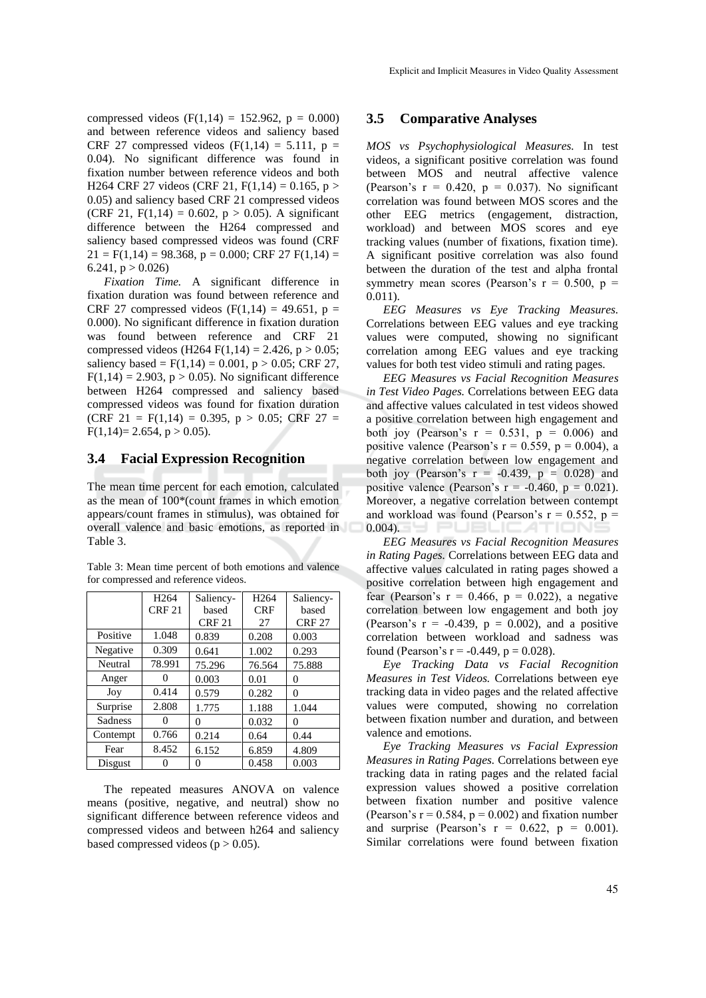compressed videos (F(1,14) = 152.962,  $p = 0.000$ ) and between reference videos and saliency based CRF 27 compressed videos  $(F(1,14) = 5.111, p =$ 0.04). No significant difference was found in fixation number between reference videos and both H264 CRF 27 videos (CRF 21,  $F(1,14) = 0.165$ ,  $p >$ 0.05) and saliency based CRF 21 compressed videos (CRF 21, F(1,14) = 0.602,  $p > 0.05$ ). A significant difference between the H264 compressed and saliency based compressed videos was found (CRF  $21 = F(1,14) = 98.368$ ,  $p = 0.000$ ; CRF 27  $F(1,14) =$ 6.241,  $p > 0.026$ 

*Fixation Time.* A significant difference in fixation duration was found between reference and CRF 27 compressed videos (F(1,14) = 49.651, p = 0.000). No significant difference in fixation duration was found between reference and CRF 21 compressed videos (H264 F(1,14) = 2.426,  $p > 0.05$ ; saliency based =  $F(1,14) = 0.001$ , p > 0.05; CRF 27,  $F(1,14) = 2.903$ ,  $p > 0.05$ ). No significant difference between H264 compressed and saliency based compressed videos was found for fixation duration (CRF 21 =  $F(1,14) = 0.395$ ,  $p > 0.05$ ; CRF 27 =  $F(1,14)=2.654, p>0.05$ .

#### **3.4 Facial Expression Recognition**

The mean time percent for each emotion, calculated as the mean of 100\*(count frames in which emotion appears/count frames in stimulus), was obtained for overall valence and basic emotions, as reported in Table 3.

Table 3: Mean time percent of both emotions and valence for compressed and reference videos.

|          | H <sub>264</sub><br>CRF21 | Saliency-<br>based<br><b>CRF 21</b> | H <sub>264</sub><br><b>CRF</b><br>27 | Saliency-<br>based<br><b>CRF 27</b> |
|----------|---------------------------|-------------------------------------|--------------------------------------|-------------------------------------|
| Positive | 1.048                     | 0.839                               | 0.208                                | 0.003                               |
| Negative | 0.309                     | 0.641                               | 1.002                                | 0.293                               |
| Neutral  | 78.991                    | 75.296                              | 76.564                               | 75.888                              |
| Anger    |                           | 0.003                               | 0.01                                 | 0                                   |
| Joy      | 0.414                     | 0.579                               | 0.282                                | 0                                   |
| Surprise | 2.808                     | 1.775                               | 1.188                                | 1.044                               |
| Sadness  |                           | 0                                   | 0.032                                | 0                                   |
| Contempt | 0.766                     | 0.214                               | 0.64                                 | 0.44                                |
| Fear     | 8.452                     | 6.152                               | 6.859                                | 4.809                               |
| Disgust  |                           |                                     | 0.458                                | 0.003                               |

The repeated measures ANOVA on valence means (positive, negative, and neutral) show no significant difference between reference videos and compressed videos and between h264 and saliency based compressed videos ( $p > 0.05$ ).

#### **3.5 Comparative Analyses**

*MOS vs Psychophysiological Measures.* In test videos, a significant positive correlation was found between MOS and neutral affective valence (Pearson's  $r = 0.420$ ,  $p = 0.037$ ). No significant correlation was found between MOS scores and the other EEG metrics (engagement, distraction, workload) and between MOS scores and eye tracking values (number of fixations, fixation time). A significant positive correlation was also found between the duration of the test and alpha frontal symmetry mean scores (Pearson's  $r = 0.500$ ,  $p =$ 0.011).

*EEG Measures vs Eye Tracking Measures.* Correlations between EEG values and eye tracking values were computed, showing no significant correlation among EEG values and eye tracking values for both test video stimuli and rating pages.

*EEG Measures vs Facial Recognition Measures in Test Video Pages.* Correlations between EEG data and affective values calculated in test videos showed a positive correlation between high engagement and both joy (Pearson's  $r = 0.531$ ,  $p = 0.006$ ) and positive valence (Pearson's  $r = 0.559$ ,  $p = 0.004$ ), a negative correlation between low engagement and both joy (Pearson's  $r = -0.439$ ,  $p = 0.028$ ) and positive valence (Pearson's  $r = -0.460$ ,  $p = 0.021$ ). Moreover, a negative correlation between contempt and workload was found (Pearson's  $r = 0.552$ ,  $p =$  $0.004$ ).

*EEG Measures vs Facial Recognition Measures in Rating Pages.* Correlations between EEG data and affective values calculated in rating pages showed a positive correlation between high engagement and fear (Pearson's  $r = 0.466$ ,  $p = 0.022$ ), a negative correlation between low engagement and both joy (Pearson's  $r = -0.439$ ,  $p = 0.002$ ), and a positive correlation between workload and sadness was found (Pearson's  $r = -0.449$ ,  $p = 0.028$ ).

*Eye Tracking Data vs Facial Recognition Measures in Test Videos.* Correlations between eye tracking data in video pages and the related affective values were computed, showing no correlation between fixation number and duration, and between valence and emotions.

*Eye Tracking Measures vs Facial Expression Measures in Rating Pages.* Correlations between eye tracking data in rating pages and the related facial expression values showed a positive correlation between fixation number and positive valence (Pearson's  $r = 0.584$ ,  $p = 0.002$ ) and fixation number and surprise (Pearson's  $r = 0.622$ ,  $p = 0.001$ ). Similar correlations were found between fixation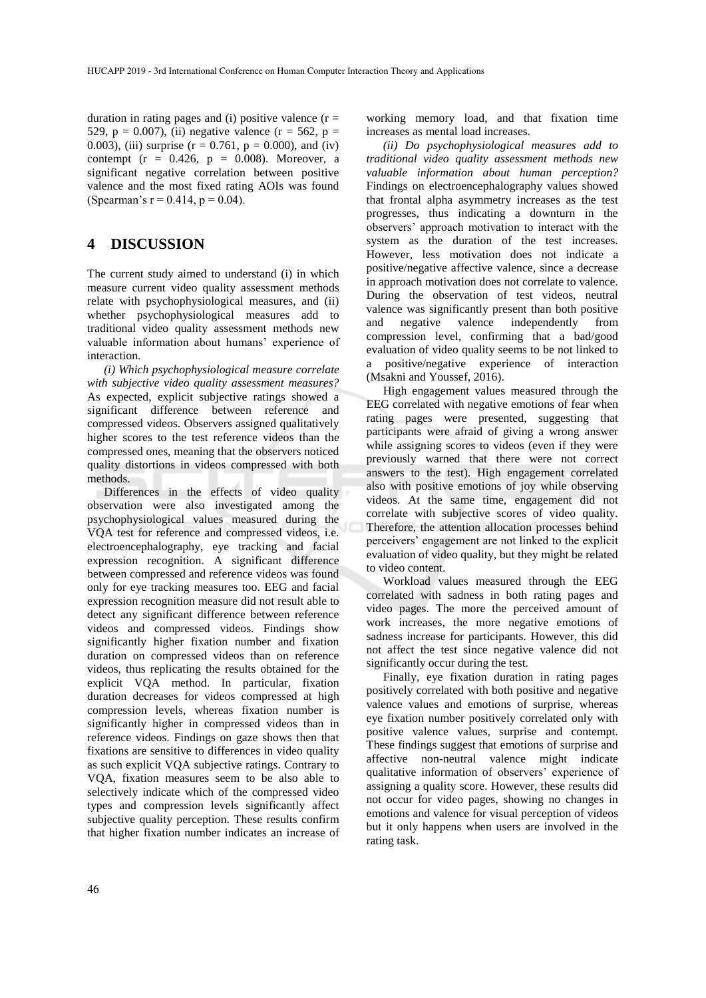duration in rating pages and (i) positive valence  $(r =$ 529, p = 0.007), (ii) negative valence ( $r = 562$ , p = 0.003), (iii) surprise ( $r = 0.761$ ,  $p = 0.000$ ), and (iv) contempt ( $r = 0.426$ ,  $p = 0.008$ ). Moreover, a significant negative correlation between positive valence and the most fixed rating AOIs was found (Spearman's  $r = 0.414$ ,  $p = 0.04$ ).

### **4 DISCUSSION**

The current study aimed to understand (i) in which measure current video quality assessment methods relate with psychophysiological measures, and (ii) whether psychophysiological measures add to traditional video quality assessment methods new valuable information about humans' experience of interaction.

*(i) Which psychophysiological measure correlate with subjective video quality assessment measures?*  As expected, explicit subjective ratings showed a significant difference between reference and compressed videos. Observers assigned qualitatively higher scores to the test reference videos than the compressed ones, meaning that the observers noticed quality distortions in videos compressed with both methods.

Differences in the effects of video quality observation were also investigated among the psychophysiological values measured during the VQA test for reference and compressed videos, i.e. electroencephalography, eye tracking and facial expression recognition. A significant difference between compressed and reference videos was found only for eye tracking measures too. EEG and facial expression recognition measure did not result able to detect any significant difference between reference videos and compressed videos. Findings show significantly higher fixation number and fixation duration on compressed videos than on reference videos, thus replicating the results obtained for the explicit VQA method. In particular, fixation duration decreases for videos compressed at high compression levels, whereas fixation number is significantly higher in compressed videos than in reference videos. Findings on gaze shows then that fixations are sensitive to differences in video quality as such explicit VQA subjective ratings. Contrary to VQA, fixation measures seem to be also able to selectively indicate which of the compressed video types and compression levels significantly affect subjective quality perception. These results confirm that higher fixation number indicates an increase of

working memory load, and that fixation time increases as mental load increases.

*(ii) Do psychophysiological measures add to traditional video quality assessment methods new valuable information about human perception?*  Findings on electroencephalography values showed that frontal alpha asymmetry increases as the test progresses, thus indicating a downturn in the observers' approach motivation to interact with the system as the duration of the test increases. However, less motivation does not indicate a positive/negative affective valence, since a decrease in approach motivation does not correlate to valence. During the observation of test videos, neutral valence was significantly present than both positive and negative valence independently from compression level, confirming that a bad/good evaluation of video quality seems to be not linked to a positive/negative experience of interaction (Msakni and Youssef, 2016).

High engagement values measured through the EEG correlated with negative emotions of fear when rating pages were presented, suggesting that participants were afraid of giving a wrong answer while assigning scores to videos (even if they were previously warned that there were not correct answers to the test). High engagement correlated also with positive emotions of joy while observing videos. At the same time, engagement did not correlate with subjective scores of video quality. Therefore, the attention allocation processes behind perceivers' engagement are not linked to the explicit evaluation of video quality, but they might be related to video content.

Workload values measured through the EEG correlated with sadness in both rating pages and video pages. The more the perceived amount of work increases, the more negative emotions of sadness increase for participants. However, this did not affect the test since negative valence did not significantly occur during the test.

Finally, eye fixation duration in rating pages positively correlated with both positive and negative valence values and emotions of surprise, whereas eye fixation number positively correlated only with positive valence values, surprise and contempt. These findings suggest that emotions of surprise and affective non-neutral valence might indicate qualitative information of observers' experience of assigning a quality score. However, these results did not occur for video pages, showing no changes in emotions and valence for visual perception of videos but it only happens when users are involved in the rating task.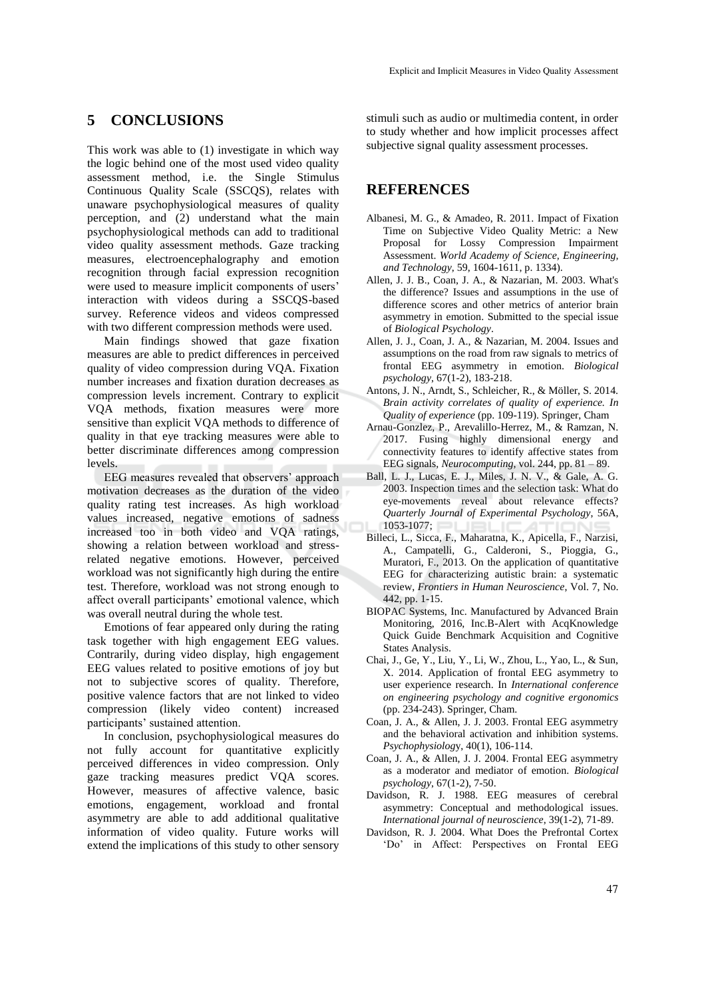### **5 CONCLUSIONS**

This work was able to (1) investigate in which way the logic behind one of the most used video quality assessment method, i.e. the Single Stimulus Continuous Quality Scale (SSCQS), relates with unaware psychophysiological measures of quality perception, and (2) understand what the main psychophysiological methods can add to traditional video quality assessment methods. Gaze tracking measures, electroencephalography and emotion recognition through facial expression recognition were used to measure implicit components of users' interaction with videos during a SSCQS-based survey. Reference videos and videos compressed with two different compression methods were used.

Main findings showed that gaze fixation measures are able to predict differences in perceived quality of video compression during VQA. Fixation number increases and fixation duration decreases as compression levels increment. Contrary to explicit VQA methods, fixation measures were more sensitive than explicit VQA methods to difference of quality in that eye tracking measures were able to better discriminate differences among compression levels.

EEG measures revealed that observers' approach motivation decreases as the duration of the video quality rating test increases. As high workload values increased, negative emotions of sadness increased too in both video and VQA ratings, showing a relation between workload and stressrelated negative emotions. However, perceived workload was not significantly high during the entire test. Therefore, workload was not strong enough to affect overall participants' emotional valence, which was overall neutral during the whole test.

Emotions of fear appeared only during the rating task together with high engagement EEG values. Contrarily, during video display, high engagement EEG values related to positive emotions of joy but not to subjective scores of quality. Therefore, positive valence factors that are not linked to video compression (likely video content) increased participants' sustained attention.

In conclusion, psychophysiological measures do not fully account for quantitative explicitly perceived differences in video compression. Only gaze tracking measures predict VQA scores. However, measures of affective valence, basic emotions, engagement, workload and frontal asymmetry are able to add additional qualitative information of video quality. Future works will extend the implications of this study to other sensory

stimuli such as audio or multimedia content, in order to study whether and how implicit processes affect subjective signal quality assessment processes.

## **REFERENCES**

- Albanesi, M. G., & Amadeo, R. 2011. Impact of Fixation Time on Subjective Video Quality Metric: a New Proposal for Lossy Compression Impairment Assessment. *World Academy of Science, Engineering, and Technology*, 59, 1604-1611, p. 1334).
- Allen, J. J. B., Coan, J. A., & Nazarian, M. 2003. What's the difference? Issues and assumptions in the use of difference scores and other metrics of anterior brain asymmetry in emotion. Submitted to the special issue of *Biological Psychology*.
- Allen, J. J., Coan, J. A., & Nazarian, M. 2004. Issues and assumptions on the road from raw signals to metrics of frontal EEG asymmetry in emotion. *Biological psychology*, 67(1-2), 183-218.
- Antons, J. N., Arndt, S., Schleicher, R., & Möller, S. 2014. *Brain activity correlates of quality of experience. In Quality of experience* (pp. 109-119). Springer, Cham
- Arnau-Gonzlez, P., Arevalillo-Herrez, M., & Ramzan, N. 2017. Fusing highly dimensional energy and connectivity features to identify affective states from EEG signals, *Neurocomputing*, vol. 244, pp. 81 – 89.
- Ball, L. J., Lucas, E. J., Miles, J. N. V., & Gale, A. G. 2003. Inspection times and the selection task: What do eye-movements reveal about relevance effects? *Quarterly Journal of Experimental Psychology*, 56A, 1053-1077;
- Billeci, L., Sicca, F., Maharatna, K., Apicella, F., Narzisi, A., Campatelli, G., Calderoni, S., Pioggia, G., Muratori, F., 2013. On the application of quantitative EEG for characterizing autistic brain: a systematic review, *Frontiers in Human Neuroscience*, Vol. 7, No. 442, pp. 1-15.
- BIOPAC Systems, Inc. Manufactured by Advanced Brain Monitoring, 2016, Inc.B-Alert with AcqKnowledge Quick Guide Benchmark Acquisition and Cognitive States Analysis.
- Chai, J., Ge, Y., Liu, Y., Li, W., Zhou, L., Yao, L., & Sun, X. 2014. Application of frontal EEG asymmetry to user experience research. In *International conference on engineering psychology and cognitive ergonomics* (pp. 234-243). Springer, Cham.
- Coan, J. A., & Allen, J. J. 2003. Frontal EEG asymmetry and the behavioral activation and inhibition systems. *Psychophysiolog*y, 40(1), 106-114.
- Coan, J. A., & Allen, J. J. 2004. Frontal EEG asymmetry as a moderator and mediator of emotion. *Biological psychology*, 67(1-2), 7-50.
- Davidson, R. J. 1988. EEG measures of cerebral asymmetry: Conceptual and methodological issues. *International journal of neuroscience*, 39(1-2), 71-89.
- Davidson, R. J. 2004. What Does the Prefrontal Cortex 'Do' in Affect: Perspectives on Frontal EEG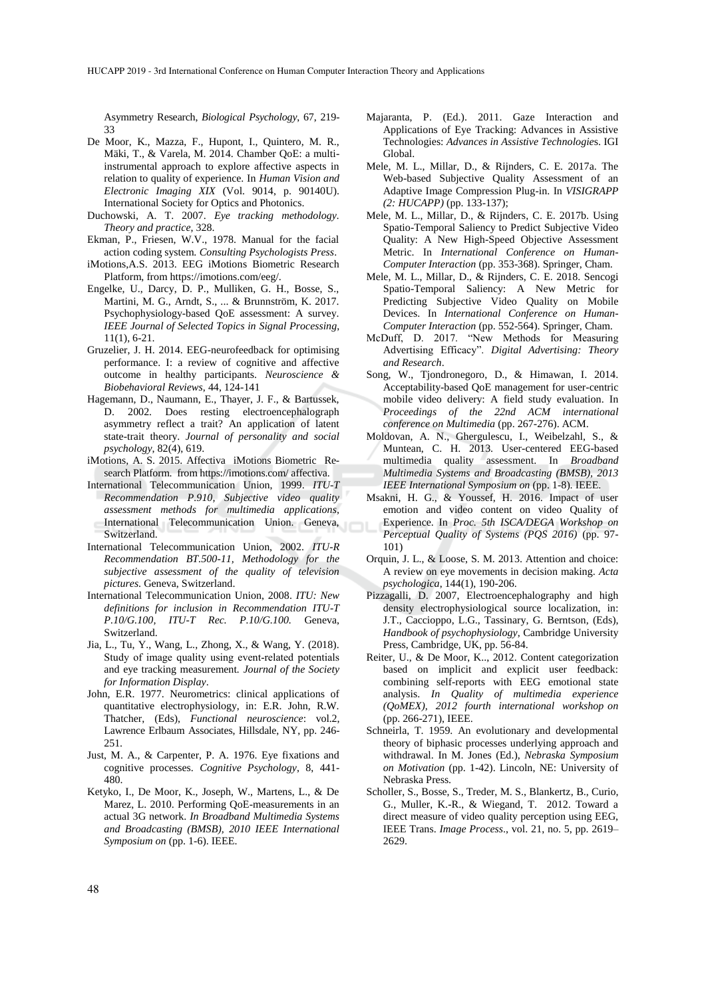Asymmetry Research, *Biological Psychology*, 67, 219- 33

- De Moor, K., Mazza, F., Hupont, I., Quintero, M. R., Mäki, T., & Varela, M. 2014. Chamber QoE: a multiinstrumental approach to explore affective aspects in relation to quality of experience. In *Human Vision and Electronic Imaging XIX* (Vol. 9014, p. 90140U). International Society for Optics and Photonics.
- Duchowski, A. T. 2007. *Eye tracking methodology. Theory and practice*, 328.
- Ekman, P., Friesen, W.V., 1978. Manual for the facial action coding system. *Consulting Psychologists Press*.
- iMotions,A.S. 2013. EEG iMotions Biometric Research Platform, from https://imotions.com/eeg/.
- Engelke, U., Darcy, D. P., Mulliken, G. H., Bosse, S., Martini, M. G., Arndt, S., ... & Brunnström, K. 2017. Psychophysiology-based QoE assessment: A survey. *IEEE Journal of Selected Topics in Signal Processing*, 11(1), 6-21.
- Gruzelier, J. H. 2014. EEG-neurofeedback for optimising performance. I: a review of cognitive and affective outcome in healthy participants. *Neuroscience & Biobehavioral Reviews*, 44, 124-141
- Hagemann, D., Naumann, E., Thayer, J. F., & Bartussek, D. 2002. Does resting electroencephalograph asymmetry reflect a trait? An application of latent state-trait theory. *Journal of personality and social psychology*, 82(4), 619.
- iMotions, A. S. 2015. Affectiva iMotions Biometric Research Platform. from https://imotions.com/ affectiva.
- International Telecommunication Union, 1999. *ITU-T Recommendation P.910, Subjective video quality assessment methods for multimedia applications,*  International Telecommunication Union. Geneva, Switzerland.
- International Telecommunication Union, 2002. *ITU-R Recommendation BT.500-11, Methodology for the subjective assessment of the quality of television pictures*. Geneva, Switzerland.
- International Telecommunication Union, 2008. *ITU: New definitions for inclusion in Recommendation ITU-T P.10/G.100, ITU-T Rec. P.10/G.100.* Geneva, Switzerland.
- Jia, L., Tu, Y., Wang, L., Zhong, X., & Wang, Y. (2018). Study of image quality using event‐related potentials and eye tracking measurement*. Journal of the Society for Information Display*.
- John, E.R. 1977. Neurometrics: clinical applications of quantitative electrophysiology, in: E.R. John, R.W. Thatcher, (Eds), *Functional neuroscience*: vol.2, Lawrence Erlbaum Associates, Hillsdale, NY, pp. 246- 251.
- Just, M. A., & Carpenter, P. A. 1976. Eye fixations and cognitive processes. *Cognitive Psychology*, 8, 441- 480.
- Ketyko, I., De Moor, K., Joseph, W., Martens, L., & De Marez, L. 2010. Performing QoE-measurements in an actual 3G network. *In Broadband Multimedia Systems and Broadcasting (BMSB), 2010 IEEE International Symposium on* (pp. 1-6). IEEE.
- Majaranta, P. (Ed.). 2011. Gaze Interaction and Applications of Eye Tracking: Advances in Assistive Technologies: *Advances in Assistive Technologie*s. IGI Global.
- Mele, M. L., Millar, D., & Rijnders, C. E. 2017a. The Web-based Subjective Quality Assessment of an Adaptive Image Compression Plug-in. In *VISIGRAPP (2: HUCAPP)* (pp. 133-137);
- Mele, M. L., Millar, D., & Rijnders, C. E. 2017b. Using Spatio-Temporal Saliency to Predict Subjective Video Quality: A New High-Speed Objective Assessment Metric. In *International Conference on Human-Computer Interaction* (pp. 353-368). Springer, Cham.
- Mele, M. L., Millar, D., & Rijnders, C. E. 2018. Sencogi Spatio-Temporal Saliency: A New Metric for Predicting Subjective Video Quality on Mobile Devices. In *International Conference on Human-Computer Interaction* (pp. 552-564). Springer, Cham.
- McDuff, D. 2017. "New Methods for Measuring Advertising Efficacy". *Digital Advertising: Theory and Research*.
- Song, W., Tjondronegoro, D., & Himawan, I. 2014. Acceptability-based QoE management for user-centric mobile video delivery: A field study evaluation. In *Proceedings of the 22nd ACM international conference on Multimedia* (pp. 267-276). ACM.
- Moldovan, A. N., Ghergulescu, I., Weibelzahl, S., & Muntean, C. H. 2013. User-centered EEG-based multimedia quality assessment. In *Broadband Multimedia Systems and Broadcasting (BMSB), 2013 IEEE International Symposium on* (pp. 1-8). IEEE.
- Msakni, H. G., & Youssef, H. 2016. Impact of user emotion and video content on video Quality of Experience. In *Proc. 5th ISCA/DEGA Workshop on Perceptual Quality of Systems (PQS 2016)* (pp. 97- 101)
- Orquin, J. L., & Loose, S. M. 2013. Attention and choice: A review on eye movements in decision making. *Acta psychologica*, 144(1), 190-206.
- Pizzagalli, D. 2007, Electroencephalography and high density electrophysiological source localization, in: J.T., Caccioppo, L.G., Tassinary, G. Berntson, (Eds), *Handbook of psychophysiology*, Cambridge University Press, Cambridge, UK, pp. 56-84.
- Reiter, U., & De Moor, K.., 2012. Content categorization based on implicit and explicit user feedback: combining self-reports with EEG emotional state analysis. *In Quality of multimedia experience (QoMEX), 2012 fourth international workshop on* (pp. 266-271), IEEE.
- Schneirla, T. 1959. An evolutionary and developmental theory of biphasic processes underlying approach and withdrawal. In M. Jones (Ed.), *Nebraska Symposium on Motivation* (pp. 1-42). Lincoln, NE: University of Nebraska Press.
- Scholler, S., Bosse, S., Treder, M. S., Blankertz, B., Curio, G., Muller, K.-R., & Wiegand, T. 2012. Toward a direct measure of video quality perception using EEG, IEEE Trans. *Image Process*., vol. 21, no. 5, pp. 2619– 2629.